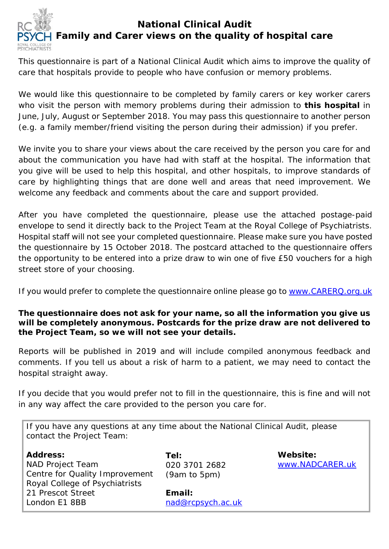

This questionnaire is part of a National Clinical Audit which aims to improve the quality of care that hospitals provide to people who have confusion or memory problems.

We would like this questionnaire to be completed by family carers or key worker carers who visit the person with memory problems during their admission to **this hospital** in June, July, August or September 2018. You may pass this questionnaire to another person (e.g. a family member/friend visiting the person during their admission) if you prefer.

We invite you to share your views about the care received by the person you care for and about the communication you have had with staff at the hospital. The information that you give will be used to help this hospital, and other hospitals, to improve standards of care by highlighting things that are done well and areas that need improvement. We welcome any feedback and comments about the care and support provided.

After you have completed the questionnaire, please use the attached postage-paid envelope to send it directly back to the Project Team at the Royal College of Psychiatrists. Hospital staff will not see your completed questionnaire. Please make sure you have posted the questionnaire by 15 October 2018. The postcard attached to the questionnaire offers the opportunity to be entered into a prize draw to win one of five £50 vouchers for a high street store of your choosing.

If you would prefer to complete the questionnaire online please go to [www.CARERQ.org.uk](http://www.carerq.org.uk/)

## **The questionnaire does not ask for your name, so all the information you give us will be completely anonymous. Postcards for the prize draw are not delivered to the Project Team, so we will not see your details.**

Reports will be published in 2019 and will include compiled anonymous feedback and comments. If you tell us about a risk of harm to a patient, we may need to contact the hospital straight away.

If you decide that you would prefer not to fill in the questionnaire, this is fine and will not in any way affect the care provided to the person you care for.

| If you have any questions at any time about the National Clinical Audit, please<br>contact the Project Team: |                                       |                             |
|--------------------------------------------------------------------------------------------------------------|---------------------------------------|-----------------------------|
| <b>Address:</b><br>NAD Project Team<br>Centre for Quality Improvement<br>Royal College of Psychiatrists      | Tel:<br>020 3701 2682<br>(9am to 5pm) | Website:<br>www.NADCARER.uk |

21 Prescot Street London E1 8BB

**Email:**  [nad@rcpsych.ac.uk](mailto:nad@rcpsych.ac.uk)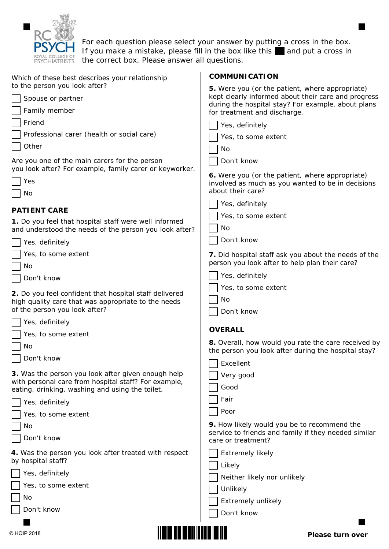

For each question please select your answer by putting a cross in the box. If you make a mistake, please fill in the box like this  $\Box$  and put a cross in the correct box. Please answer all questions.

| Which of these best describes your relationship                                                                 | <b>COMMUNICATION</b>                                                                                      |
|-----------------------------------------------------------------------------------------------------------------|-----------------------------------------------------------------------------------------------------------|
| to the person you look after?                                                                                   | 5. Were you (or the patient, where appropriate)                                                           |
| Spouse or partner                                                                                               | kept clearly informed about their care and progress<br>during the hospital stay? For example, about plans |
| Family member                                                                                                   | for treatment and discharge.                                                                              |
| Friend                                                                                                          | Yes, definitely                                                                                           |
| Professional carer (health or social care)                                                                      | Yes, to some extent                                                                                       |
| Other                                                                                                           | No                                                                                                        |
| Are you one of the main carers for the person<br>you look after? For example, family carer or keyworker.        | Don't know                                                                                                |
| Yes                                                                                                             | 6. Were you (or the patient, where appropriate)<br>involved as much as you wanted to be in decisions      |
| No                                                                                                              | about their care?                                                                                         |
|                                                                                                                 | Yes, definitely                                                                                           |
| <b>PATIENT CARE</b>                                                                                             | Yes, to some extent                                                                                       |
| 1. Do you feel that hospital staff were well informed<br>and understood the needs of the person you look after? | No                                                                                                        |
| Yes, definitely                                                                                                 | Don't know                                                                                                |
| Yes, to some extent                                                                                             | 7. Did hospital staff ask you about the needs of the                                                      |
| No                                                                                                              | person you look after to help plan their care?                                                            |
| Don't know                                                                                                      | Yes, definitely                                                                                           |
|                                                                                                                 | Yes, to some extent                                                                                       |
| 2. Do you feel confident that hospital staff delivered<br>high quality care that was appropriate to the needs   | No                                                                                                        |
| of the person you look after?                                                                                   | Don't know                                                                                                |
| Yes, definitely                                                                                                 |                                                                                                           |
| Yes, to some extent                                                                                             | <b>OVERALL</b>                                                                                            |
| No                                                                                                              | 8. Overall, how would you rate the care received by                                                       |
| Don't know                                                                                                      | the person you look after during the hospital stay?                                                       |
|                                                                                                                 | Excellent                                                                                                 |
| 3. Was the person you look after given enough help                                                              |                                                                                                           |
|                                                                                                                 | Very good                                                                                                 |
| with personal care from hospital staff? For example,<br>eating, drinking, washing and using the toilet.         | Good                                                                                                      |
| Yes, definitely                                                                                                 | Fair                                                                                                      |
| Yes, to some extent                                                                                             | Poor                                                                                                      |
| No                                                                                                              | 9. How likely would you be to recommend the                                                               |
| Don't know                                                                                                      | service to friends and family if they needed similar<br>care or treatment?                                |
| 4. Was the person you look after treated with respect                                                           | <b>Extremely likely</b>                                                                                   |
| by hospital staff?                                                                                              | Likely                                                                                                    |
| Yes, definitely                                                                                                 | Neither likely nor unlikely                                                                               |
| Yes, to some extent                                                                                             | Unlikely                                                                                                  |
| No                                                                                                              | Extremely unlikely                                                                                        |
| Don't know                                                                                                      | Don't know                                                                                                |

**Please turn over**